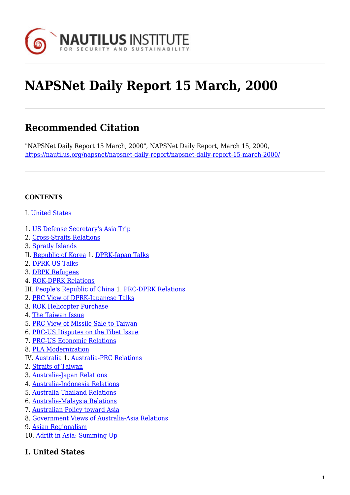

# **NAPSNet Daily Report 15 March, 2000**

# **Recommended Citation**

"NAPSNet Daily Report 15 March, 2000", NAPSNet Daily Report, March 15, 2000, <https://nautilus.org/napsnet/napsnet-daily-report/napsnet-daily-report-15-march-2000/>

#### **CONTENTS**

- I. [United States](#page-0-0)
- 1. [US Defense Secretary's Asia Trip](#page-0-1)
- 2. [Cross-Straits Relations](#page-1-0)
- 3. [Spratly Islands](#page-1-1)
- II. [Republic of Korea](#page-2-0) 1. [DPRK-Japan Talks](#page-2-1)
- 2. [DPRK-US Talks](#page-2-2)
- 3. [DRPK Refugees](#page-2-3)
- 4. [ROK-DPRK Relations](#page-3-0)
- III. [People's Republic of China](#page-3-1) 1. [PRC-DPRK Relations](#page-3-2)
- 2. [PRC View of DPRK-Japanese Talks](#page-3-3)
- 3. [ROK Helicopter Purchase](#page-3-4)
- 4. [The Taiwan Issue](#page-4-0)
- 5. [PRC View of Missile Sale to Taiwan](#page-4-1)
- 6. [PRC-US Disputes on the Tibet Issue](#page-4-2)
- 7. [PRC-US Economic Relations](#page-4-3)
- 8. [PLA Modernization](#page-4-4)
- IV. [Australia](#page-5-0) 1. [Australia-PRC Relations](#page-5-1)
- 2. [Straits of Taiwan](#page-5-2)
- 3. [Australia-Japan Relations](#page-6-0)
- 4. [Australia-Indonesia Relations](#page-6-1)
- 5. [Australia-Thailand Relations](#page-6-2)
- 6. [Australia-Malaysia Relations](#page-7-0)
- 7. [Australian Policy toward Asia](#page-7-1)
- 8. [Government Views of Australia-Asia Relations](#page-8-0)
- 9. [Asian Regionalism](#page-8-1)
- 10. [Adrift in Asia: Summing Up](#page-9-0)

# <span id="page-0-1"></span><span id="page-0-0"></span>**I. United States**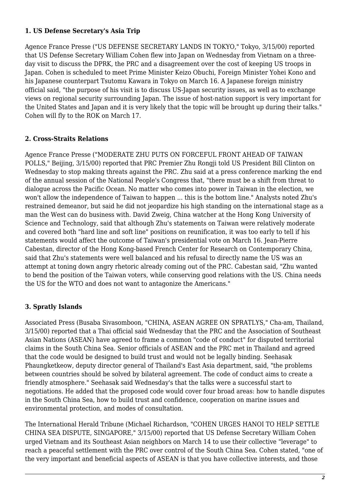#### **1. US Defense Secretary's Asia Trip**

Agence France Presse ("US DEFENSE SECRETARY LANDS IN TOKYO," Tokyo, 3/15/00) reported that US Defense Secretary William Cohen flew into Japan on Wednesday from Vietnam on a threeday visit to discuss the DPRK, the PRC and a disagreement over the cost of keeping US troops in Japan. Cohen is scheduled to meet Prime Minister Keizo Obuchi, Foreign Minister Yohei Kono and his Japanese counterpart Tsutomu Kawara in Tokyo on March 16. A Japanese foreign ministry official said, "the purpose of his visit is to discuss US-Japan security issues, as well as to exchange views on regional security surrounding Japan. The issue of host-nation support is very important for the United States and Japan and it is very likely that the topic will be brought up during their talks." Cohen will fly to the ROK on March 17.

# <span id="page-1-0"></span>**2. Cross-Straits Relations**

Agence France Presse ("MODERATE ZHU PUTS ON FORCEFUL FRONT AHEAD OF TAIWAN POLLS," Beijing, 3/15/00) reported that PRC Premier Zhu Rongji told US President Bill Clinton on Wednesday to stop making threats against the PRC. Zhu said at a press conference marking the end of the annual session of the National People's Congress that, "there must be a shift from threat to dialogue across the Pacific Ocean. No matter who comes into power in Taiwan in the election, we won't allow the independence of Taiwan to happen ... this is the bottom line." Analysts noted Zhu's restrained demeanor, but said he did not jeopardize his high standing on the international stage as a man the West can do business with. David Zweig, China watcher at the Hong Kong University of Science and Technology, said that although Zhu's statements on Taiwan were relatively moderate and covered both "hard line and soft line" positions on reunification, it was too early to tell if his statements would affect the outcome of Taiwan's presidential vote on March 16. Jean-Pierre Cabestan, director of the Hong Kong-based French Center for Research on Contemporary China, said that Zhu's statements were well balanced and his refusal to directly name the US was an attempt at toning down angry rhetoric already coming out of the PRC. Cabestan said, "Zhu wanted to bend the position of the Taiwan voters, while conserving good relations with the US. China needs the US for the WTO and does not want to antagonize the Americans."

#### <span id="page-1-1"></span>**3. Spratly Islands**

Associated Press (Busaba Sivasomboon, "CHINA, ASEAN AGREE ON SPRATLYS," Cha-am, Thailand, 3/15/00) reported that a Thai official said Wednesday that the PRC and the Association of Southeast Asian Nations (ASEAN) have agreed to frame a common "code of conduct" for disputed territorial claims in the South China Sea. Senior officials of ASEAN and the PRC met in Thailand and agreed that the code would be designed to build trust and would not be legally binding. Seehasak Phaungketkeow, deputy director general of Thailand's East Asia department, said, "the problems between countries should be solved by bilateral agreement. The code of conduct aims to create a friendly atmosphere." Seehasak said Wednesday's that the talks were a successful start to negotiations. He added that the proposed code would cover four broad areas: how to handle disputes in the South China Sea, how to build trust and confidence, cooperation on marine issues and environmental protection, and modes of consultation.

The International Herald Tribune (Michael Richardson, "COHEN URGES HANOI TO HELP SETTLE CHINA SEA DISPUTE, SINGAPORE," 3/15/00) reported that US Defense Secretary William Cohen urged Vietnam and its Southeast Asian neighbors on March 14 to use their collective "leverage" to reach a peaceful settlement with the PRC over control of the South China Sea. Cohen stated, "one of the very important and beneficial aspects of ASEAN is that you have collective interests, and those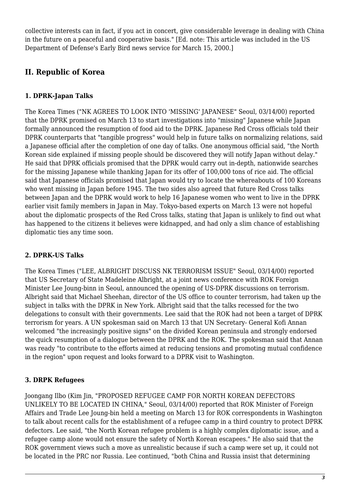collective interests can in fact, if you act in concert, give considerable leverage in dealing with China in the future on a peaceful and cooperative basis." [Ed. note: This article was included in the US Department of Defense's Early Bird news service for March 15, 2000.]

# <span id="page-2-0"></span>**II. Republic of Korea**

# <span id="page-2-1"></span>**1. DPRK-Japan Talks**

The Korea Times ("NK AGREES TO LOOK INTO 'MISSING' JAPANESE" Seoul, 03/14/00) reported that the DPRK promised on March 13 to start investigations into "missing" Japanese while Japan formally announced the resumption of food aid to the DPRK. Japanese Red Cross officials told their DPRK counterparts that "tangible progress" would help in future talks on normalizing relations, said a Japanese official after the completion of one day of talks. One anonymous official said, "the North Korean side explained if missing people should be discovered they will notify Japan without delay." He said that DPRK officials promised that the DPRK would carry out in-depth, nationwide searches for the missing Japanese while thanking Japan for its offer of 100,000 tons of rice aid. The official said that Japanese officials promised that Japan would try to locate the whereabouts of 100 Koreans who went missing in Japan before 1945. The two sides also agreed that future Red Cross talks between Japan and the DPRK would work to help 16 Japanese women who went to live in the DPRK earlier visit family members in Japan in May. Tokyo-based experts on March 13 were not hopeful about the diplomatic prospects of the Red Cross talks, stating that Japan is unlikely to find out what has happened to the citizens it believes were kidnapped, and had only a slim chance of establishing diplomatic ties any time soon.

# <span id="page-2-2"></span>**2. DPRK-US Talks**

The Korea Times ("LEE, ALBRIGHT DISCUSS NK TERRORISM ISSUE" Seoul, 03/14/00) reported that US Secretary of State Madeleine Albright, at a joint news conference with ROK Foreign Minister Lee Joung-binn in Seoul, announced the opening of US-DPRK discussions on terrorism. Albright said that Michael Sheehan, director of the US office to counter terrorism, had taken up the subject in talks with the DPRK in New York. Albright said that the talks recessed for the two delegations to consult with their governments. Lee said that the ROK had not been a target of DPRK terrorism for years. A UN spokesman said on March 13 that UN Secretary- General Kofi Annan welcomed "the increasingly positive signs" on the divided Korean peninsula and strongly endorsed the quick resumption of a dialogue between the DPRK and the ROK. The spokesman said that Annan was ready "to contribute to the efforts aimed at reducing tensions and promoting mutual confidence in the region" upon request and looks forward to a DPRK visit to Washington.

# <span id="page-2-3"></span>**3. DRPK Refugees**

Joongang Ilbo (Kim Jin, "PROPOSED REFUGEE CAMP FOR NORTH KOREAN DEFECTORS UNLIKELY TO BE LOCATED IN CHINA," Seoul, 03/14/00) reported that ROK Minister of Foreign Affairs and Trade Lee Joung-bin held a meeting on March 13 for ROK correspondents in Washington to talk about recent calls for the establishment of a refugee camp in a third country to protect DPRK defectors. Lee said, "the North Korean refugee problem is a highly complex diplomatic issue, and a refugee camp alone would not ensure the safety of North Korean escapees." He also said that the ROK government views such a move as unrealistic because if such a camp were set up, it could not be located in the PRC nor Russia. Lee continued, "both China and Russia insist that determining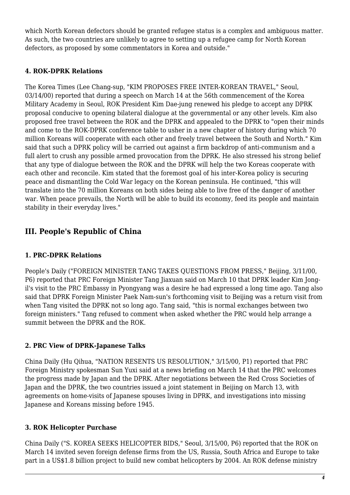which North Korean defectors should be granted refugee status is a complex and ambiguous matter. As such, the two countries are unlikely to agree to setting up a refugee camp for North Korean defectors, as proposed by some commentators in Korea and outside."

# <span id="page-3-0"></span>**4. ROK-DPRK Relations**

The Korea Times (Lee Chang-sup, "KIM PROPOSES FREE INTER-KOREAN TRAVEL," Seoul, 03/14/00) reported that during a speech on March 14 at the 56th commencement of the Korea Military Academy in Seoul, ROK President Kim Dae-jung renewed his pledge to accept any DPRK proposal conducive to opening bilateral dialogue at the governmental or any other levels. Kim also proposed free travel between the ROK and the DPRK and appealed to the DPRK to "open their minds and come to the ROK-DPRK conference table to usher in a new chapter of history during which 70 million Koreans will cooperate with each other and freely travel between the South and North." Kim said that such a DPRK policy will be carried out against a firm backdrop of anti-communism and a full alert to crush any possible armed provocation from the DPRK. He also stressed his strong belief that any type of dialogue between the ROK and the DPRK will help the two Koreas cooperate with each other and reconcile. Kim stated that the foremost goal of his inter-Korea policy is securing peace and dismantling the Cold War legacy on the Korean peninsula. He continued, "this will translate into the 70 million Koreans on both sides being able to live free of the danger of another war. When peace prevails, the North will be able to build its economy, feed its people and maintain stability in their everyday lives."

# <span id="page-3-1"></span>**III. People's Republic of China**

#### <span id="page-3-2"></span>**1. PRC-DPRK Relations**

People's Daily ("FOREIGN MINISTER TANG TAKES QUESTIONS FROM PRESS," Beijing, 3/11/00, P6) reported that PRC Foreign Minister Tang Jiaxuan said on March 10 that DPRK leader Kim Jongil's visit to the PRC Embassy in Pyongyang was a desire he had expressed a long time ago. Tang also said that DPRK Foreign Minister Paek Nam-sun's forthcoming visit to Beijing was a return visit from when Tang visited the DPRK not so long ago. Tang said, "this is normal exchanges between two foreign ministers." Tang refused to comment when asked whether the PRC would help arrange a summit between the DPRK and the ROK.

# <span id="page-3-3"></span>**2. PRC View of DPRK-Japanese Talks**

China Daily (Hu Qihua, "NATION RESENTS US RESOLUTION," 3/15/00, P1) reported that PRC Foreign Ministry spokesman Sun Yuxi said at a news briefing on March 14 that the PRC welcomes the progress made by Japan and the DPRK. After negotiations between the Red Cross Societies of Japan and the DPRK, the two countries issued a joint statement in Beijing on March 13, with agreements on home-visits of Japanese spouses living in DPRK, and investigations into missing Japanese and Koreans missing before 1945.

#### <span id="page-3-4"></span>**3. ROK Helicopter Purchase**

China Daily ("S. KOREA SEEKS HELICOPTER BIDS," Seoul, 3/15/00, P6) reported that the ROK on March 14 invited seven foreign defense firms from the US, Russia, South Africa and Europe to take part in a US\$1.8 billion project to build new combat helicopters by 2004. An ROK defense ministry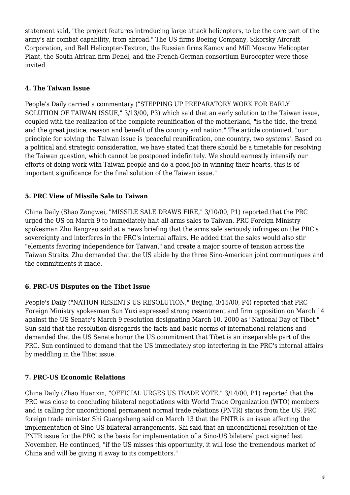statement said, "the project features introducing large attack helicopters, to be the core part of the army's air combat capability, from abroad." The US firms Boeing Company, Sikorsky Aircraft Corporation, and Bell Helicopter-Textron, the Russian firms Kamov and Mill Moscow Helicopter Plant, the South African firm Denel, and the French-German consortium Eurocopter were those invited.

# <span id="page-4-0"></span>**4. The Taiwan Issue**

People's Daily carried a commentary ("STEPPING UP PREPARATORY WORK FOR EARLY SOLUTION OF TAIWAN ISSUE," 3/13/00, P3) which said that an early solution to the Taiwan issue, coupled with the realization of the complete reunification of the motherland, "is the tide, the trend and the great justice, reason and benefit of the country and nation." The article continued, "our principle for solving the Taiwan issue is 'peaceful reunification, one country, two systems'. Based on a political and strategic consideration, we have stated that there should be a timetable for resolving the Taiwan question, which cannot be postponed indefinitely. We should earnestly intensify our efforts of doing work with Taiwan people and do a good job in winning their hearts, this is of important significance for the final solution of the Taiwan issue."

# <span id="page-4-1"></span>**5. PRC View of Missile Sale to Taiwan**

China Daily (Shao Zongwei, "MISSILE SALE DRAWS FIRE," 3/10/00, P1) reported that the PRC urged the US on March 9 to immediately halt all arms sales to Taiwan. PRC Foreign Ministry spokesman Zhu Bangzao said at a news briefing that the arms sale seriously infringes on the PRC's sovereignty and interferes in the PRC's internal affairs. He added that the sales would also stir "elements favoring independence for Taiwan," and create a major source of tension across the Taiwan Straits. Zhu demanded that the US abide by the three Sino-American joint communiques and the commitments it made.

# <span id="page-4-2"></span>**6. PRC-US Disputes on the Tibet Issue**

People's Daily ("NATION RESENTS US RESOLUTION," Beijing, 3/15/00, P4) reported that PRC Foreign Ministry spokesman Sun Yuxi expressed strong resentment and firm opposition on March 14 against the US Senate's March 9 resolution designating March 10, 2000 as "National Day of Tibet." Sun said that the resolution disregards the facts and basic norms of international relations and demanded that the US Senate honor the US commitment that Tibet is an inseparable part of the PRC. Sun continued to demand that the US immediately stop interfering in the PRC's internal affairs by meddling in the Tibet issue.

# <span id="page-4-3"></span>**7. PRC-US Economic Relations**

<span id="page-4-4"></span>China Daily (Zhao Huanxin, "OFFICIAL URGES US TRADE VOTE," 3/14/00, P1) reported that the PRC was close to concluding bilateral negotiations with World Trade Organization (WTO) members and is calling for unconditional permanent normal trade relations (PNTR) status from the US. PRC foreign trade minister Shi Guangsheng said on March 13 that the PNTR is an issue affecting the implementation of Sino-US bilateral arrangements. Shi said that an unconditional resolution of the PNTR issue for the PRC is the basis for implementation of a Sino-US bilateral pact signed last November. He continued, "if the US misses this opportunity, it will lose the tremendous market of China and will be giving it away to its competitors."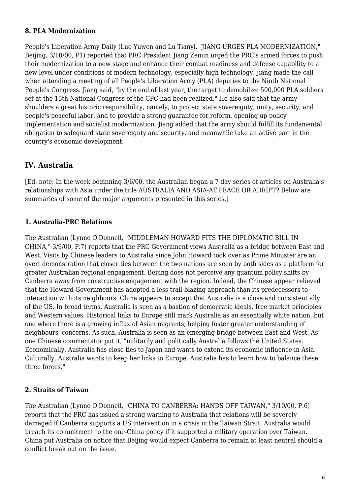#### **8. PLA Modernization**

People's Liberation Army Daily (Luo Yuwen and Lu Tianyi, "JIANG URGES PLA MODERNIZATION," Beijing, 3/10/00, P1) reported that PRC President Jiang Zemin urged the PRC's armed forces to push their modernization to a new stage and enhance their combat readiness and defense capability to a new level under conditions of modern technology, especially high technology. Jiang made the call when attending a meeting of all People's Liberation Army (PLA) deputies to the Ninth National People's Congress. Jiang said, "by the end of last year, the target to demobilize 500,000 PLA soldiers set at the 15th National Congress of the CPC had been realized." He also said that the army shoulders a great historic responsibility, namely, to protect state sovereignty, unity, security, and people's peaceful labor, and to provide a strong guarantee for reform, opening up policy implementation and socialist modernization. Jiang added that the army should fulfill its fundamental obligation to safeguard state sovereignty and security, and meanwhile take an active part in the country's economic development.

# <span id="page-5-0"></span>**IV. Australia**

[Ed. note: In the week beginning 3/6/00, the Australian began a 7 day series of articles on Australia's relationships with Asia under the title AUSTRALIA AND ASIA-AT PEACE OR ADRIFT? Below are summaries of some of the major arguments presented in this series.]

#### <span id="page-5-1"></span>**1. Australia-PRC Relations**

The Australian (Lynne O'Donnell, "MIDDLEMAN HOWARD FITS THE DIPLOMATIC BILL IN CHINA," 3/9/00, P.7) reports that the PRC Government views Australia as a bridge between East and West. Visits by Chinese leaders to Australia since John Howard took over as Prime Minister are an overt demonstration that closer ties between the two nations are seen by both sides as a platform for greater Australian regional engagement. Beijing does not perceive any quantum policy shifts by Canberra away from constructive engagement with the region. Indeed, the Chinese appear relieved that the Howard Government has adopted a less trail-blazing approach than its predecessors to interaction with its neighbours. China appears to accept that Australia is a close and consistent ally of the US. In broad terms, Australia is seen as a bastion of democratic ideals, free market principles and Western values. Historical links to Europe still mark Australia as an essentially white nation, but one where there is a growing influx of Asian migrants, helping foster greater understanding of neighbours' concerns. As such, Australia is seen as an emerging bridge between East and West. As one Chinese commentator put it, "militarily and politically Australia follows the United States. Economically, Australia has close ties to Japan and wants to extend its economic influence in Asia. Culturally, Australia wants to keep her links to Europe. Australia has to learn how to balance these three forces."

# <span id="page-5-2"></span>**2. Straits of Taiwan**

The Australian (Lynne O'Donnell, "CHINA TO CANBERRA: HANDS OFF TAIWAN," 3/10/00, P.6) reports that the PRC has issued a strong warning to Australia that relations will be severely damaged if Canberra supports a US intervention in a crisis in the Taiwan Strait. Australia would breach its commitment to the one-China policy if it supported a military operation over Taiwan. China put Australia on notice that Beijing would expect Canberra to remain at least neutral should a conflict break out on the issue.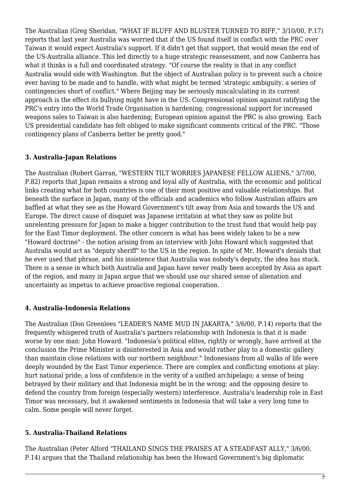The Australian (Greg Sheridan, "WHAT IF BLUFF AND BLUSTER TURNED TO BIFF," 3/10/00, P.17) reports that last year Australia was worried that if the US found itself in conflict with the PRC over Taiwan it would expect Australia's support. If it didn't get that support, that would mean the end of the US-Australia alliance. This led directly to a huge strategic reassessment, and now Canberra has what it thinks is a full and coordinated strategy. "Of course the reality is that in any conflict Australia would side with Washington. But the object of Australian policy is to prevent such a choice ever having to be made and to handle, with what might be termed 'strategic ambiguity, a series of contingencies short of conflict." Where Beijing may be seriously miscalculating in its current approach is the effect its bullying might have in the US. Congressional opinion against ratifying the PRC's entry into the World Trade Organisation is hardening; congressional support for increased weapons sales to Taiwan is also hardening; European opinion against the PRC is also growing. Each US presidential candidate has felt obliged to make significant comments critical of the PRC. "Those contingency plans of Canberra better be pretty good."

#### <span id="page-6-0"></span>**3. Australia-Japan Relations**

The Australian (Robert Garran, "WESTERN TILT WORRIES JAPANESE FELLOW ALIENS," 3/7/00, P.82) reports that Japan remains a strong and loyal ally of Australia, with the economic and political links creating what for both countries is one of their most positive and valuable relationships. But beneath the surface in Japan, many of the officials and academics who follow Australian affairs are baffled at what they see as the Howard Government's tilt away from Asia and towards the US and Europe. The direct cause of disquiet was Japanese irritation at what they saw as polite but unrelenting pressure for Japan to make a bigger contribution to the trust fund that would help pay for the East Timor deployment. The other concern is what has been widely taken to be a new "Howard doctrine" - the notion arising from an interview with John Howard which suggested that Australia would act as "deputy sheriff" to the US in the region. In spite of Mr. Howard's denials that he ever used that phrase, and his insistence that Australia was nobody's deputy, the idea has stuck. There is a sense in which both Australia and Japan have never really been accepted by Asia as apart of the region, and many in Japan argue that we should use our shared sense of alienation and uncertainty as impetus to achieve proactive regional cooperation.

#### <span id="page-6-1"></span>**4. Australia-Indonesia Relations**

The Australian (Don Greenlees "LEADER'S NAME MUD IN JAKARTA," 3/6/00, P.14) reports that the frequently whispered truth of Australia's partners relationship with Indonesia is that it is made worse by one man: John Howard. "Indonesia's political elites, rightly or wrongly, have arrived at the conclusion the Prime Minister is disinterested in Asia and would rather play to a domestic gallery than maintain close relations with our northern neighbour." Indonesians from all walks of life were deeply wounded by the East Timor experience. There are complex and conflicting emotions at play: hurt national pride; a loss of confidence in the verity of a unified archipelago; a sense of being betrayed by their military and that Indonesia might be in the wrong; and the opposing desire to defend the country from foreign (especially western) interference. Australia's leadership role in East Timor was necessary, but it awakened sentiments in Indonesia that will take a very long time to calm. Some people will never forget.

#### <span id="page-6-2"></span>**5. Australia-Thailand Relations**

The Australian (Peter Alford "THAILAND SINGS THE PRAISES AT A STEADFAST ALLY," 3/6/00, P.14) argues that the Thailand relationship has been the Howard Government's big diplomatic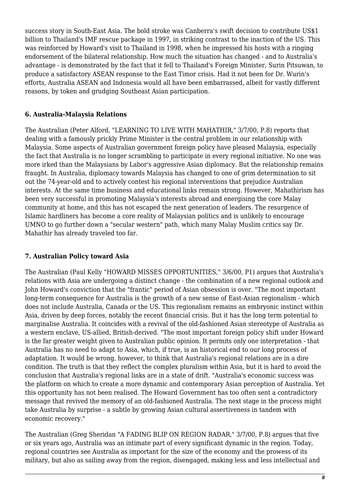success story in South-East Asia. The bold stroke was Canberra's swift decision to contribute US\$1 billion to Thailand's IMF rescue package in 1997, in striking contrast to the inaction of the US. This was reinforced by Howard's visit to Thailand in 1998, when he impressed his hosts with a ringing endorsement of the bilateral relationship. How much the situation has changed - and to Australia's advantage - is demonstrated by the fact that it fell to Thailand's Foreign Minister, Surin Pitsuwan, to produce a satisfactory ASEAN response to the East Timor crisis. Had it not been for Dr. Wurin's efforts, Australia ASEAN and Indonesia would all have been embarrassed, albeit for vastly different reasons, by token and grudging Southeast Asian participation.

# <span id="page-7-0"></span>**6. Australia-Malaysia Relations**

The Australian (Peter Alford, "LEARNING TO LIVE WITH MAHATHIR," 3/7/00, P.8) reports that dealing with a famously prickly Prime Minister is the central problem in our relationship with Malaysia. Some aspects of Australian government foreign policy have pleased Malaysia, especially the fact that Australia is no longer scrambling to participate in every regional initiative. No one was more irked than the Malaysians by Labor's aggressive Asian diplomacy. But the relationship remains fraught. In Australia, diplomacy towards Malaysia has changed to one of grim determination to sit out the 74-year-old and to actively contest his regional interventions that prejudice Australian interests. At the same time business and educational links remain strong. However, Mahathirism has been very successful in promoting Malaysia's interests abroad and energising the core Malay community at home, and this has not escaped the next generation of leaders. The resurgence of Islamic hardliners has become a core reality of Malaysian politics and is unlikely to encourage UMNO to go further down a "secular western" path, which many Malay Muslim critics say Dr. Mahathir has already traveled too far.

#### <span id="page-7-1"></span>**7. Australian Policy toward Asia**

The Australian (Paul Kelly "HOWARD MISSES OPPORTUNITIES," 3/6/00, P1) argues that Australia's relations with Asia are undergoing a distinct change - the combination of a new regional outlook and John Howard's conviction that the "frantic" period of Asian obsession is over. "The most important long-term consequence for Australia is the growth of a new sense of East-Asian regionalism - which does not include Australia, Canada or the US. This regionalism remains an embryonic instinct within Asia, driven by deep forces, notably the recent financial crisis. But it has the long term potential to marginalise Australia. It coincides with a revival of the old-fashioned Asian stereotype of Australia as a western enclave, US-allied, British-derived. "The most important foreign policy shift under Howard is the far greater weight given to Australian public opinion. It permits only one interpretation - that Australia has no need to adapt to Asia, which, if true, is an historical end to our long process of adaptation. It would be wrong, however, to think that Australia's regional relations are in a dire condition. The truth is that they reflect the complex pluralism within Asia, but it is hard to avoid the conclusion that Australia's regional links are in a state of drift. "Australia's economic success was the platform on which to create a more dynamic and contemporary Asian perception of Australia. Yet this opportunity has not been realised. The Howard Government has too often sent a contradictory message that revived the memory of an old-fashioned Australia. The next stage in the process might take Australia by surprise - a subtle by growing Asian cultural assertiveness in tandem with economic recovery."

The Australian (Greg Sheridan "A FADING BLIP ON REGION RADAR," 3/7/00, P.8) argues that five or six years ago, Australia was an intimate part of every significant dynamic in the region. Today, regional countries see Australia as important for the size of the economy and the prowess of its military, but also as sailing away from the region, disengaged, making less and less intellectual and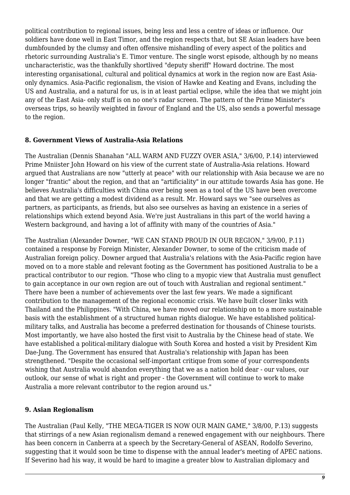political contribution to regional issues, being less and less a centre of ideas or influence. Our soldiers have done well in East Timor, and the region respects that, but SE Asian leaders have been dumbfounded by the clumsy and often offensive mishandling of every aspect of the politics and rhetoric surrounding Australia's E. Timor venture. The single worst episode, although by no means uncharacteristic, was the thankfully shortlived "deputy sheriff" Howard doctrine. The most interesting organisational, cultural and political dynamics at work in the region now are East Asiaonly dynamics. Asia-Pacific regionalism, the vision of Hawke and Keating and Evans, including the US and Australia, and a natural for us, is in at least partial eclipse, while the idea that we might join any of the East Asia- only stuff is on no one's radar screen. The pattern of the Prime Minister's overseas trips, so heavily weighted in favour of England and the US, also sends a powerful message to the region.

#### <span id="page-8-0"></span>**8. Government Views of Australia-Asia Relations**

The Australian (Dennis Shanahan "ALL WARM AND FUZZY OVER ASIA," 3/6/00, P.14) interviewed Prime Mniister John Howard on his view of the current state of Australia-Asia relations. Howard argued that Australians are now "utterly at peace" with our relationship with Asia because we are no longer "frantic" about the region, and that an "artificiality" in our attitude towards Asia has gone. He believes Australia's difficulties with China over being seen as a tool of the US have been overcome and that we are getting a modest dividend as a result. Mr. Howard says we "see ourselves as partners, as participants, as friends, but also see ourselves as having an existence in a series of relationships which extend beyond Asia. We're just Australians in this part of the world having a Western background, and having a lot of affinity with many of the countries of Asia."

The Australian (Alexander Downer, "WE CAN STAND PROUD IN OUR REGION," 3/9/00, P.11) contained a response by Foreign Minister, Alexander Downer, to some of the criticism made of Australian foreign policy. Downer argued that Australia's relations with the Asia-Pacific region have moved on to a more stable and relevant footing as the Government has positioned Australia to be a practical contributor to our region. "Those who cling to a myopic view that Australia must genuflect to gain acceptance in our own region are out of touch with Australian and regional sentiment." There have been a number of achievements over the last few years. We made a significant contribution to the management of the regional economic crisis. We have built closer links with Thailand and the Philippines. "With China, we have moved our relationship on to a more sustainable basis with the establishment of a structured human rights dialogue. We have established politicalmilitary talks, and Australia has become a preferred destination for thousands of Chinese tourists. Most importantly, we have also hosted the first visit to Australia by the Chinese head of state. We have established a political-military dialogue with South Korea and hosted a visit by President Kim Dae-Jung. The Government has ensured that Australia's relationship with Japan has been strengthened. "Despite the occasional self-important critique from some of your correspondents wishing that Australia would abandon everything that we as a nation hold dear - our values, our outlook, our sense of what is right and proper - the Government will continue to work to make Australia a more relevant contributor to the region around us."

#### <span id="page-8-1"></span>**9. Asian Regionalism**

The Australian (Paul Kelly, "THE MEGA-TIGER IS NOW OUR MAIN GAME," 3/8/00, P.13) suggests that stirrings of a new Asian regionalism demand a renewed engagement with our neighbours. There has been concern in Canberra at a speech by the Secretary-General of ASEAN, Rodolfo Severino, suggesting that it would soon be time to dispense with the annual leader's meeting of APEC nations. If Severino had his way, it would be hard to imagine a greater blow to Australian diplomacy and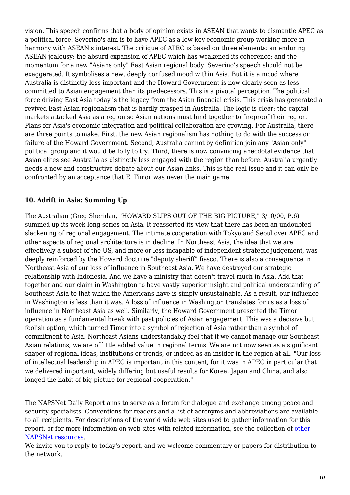vision. This speech confirms that a body of opinion exists in ASEAN that wants to dismantle APEC as a political force. Severino's aim is to have APEC as a low-key economic group working more in harmony with ASEAN's interest. The critique of APEC is based on three elements: an enduring ASEAN jealousy; the absurd expansion of APEC which has weakened its coherence; and the momentum for a new "Asians only" East Asian regional body. Severino's speech should not be exaggerated. It symbolises a new, deeply confused mood within Asia. But it is a mood where Australia is distinctly less important and the Howard Government is now clearly seen as less committed to Asian engagement than its predecessors. This is a pivotal perception. The political force driving East Asia today is the legacy from the Asian financial crisis. This crisis has generated a revived East Asian regionalism that is hardly grasped in Australia. The logic is clear: the capital markets attacked Asia as a region so Asian nations must bind together to fireproof their region. Plans for Asia's economic integration and political collaboration are growing. For Australia, there are three points to make. First, the new Asian regionalism has nothing to do with the success or failure of the Howard Government. Second, Australia cannot by definition join any "Asian only" political group and it would be folly to try. Third, there is now convincing anecdotal evidence that Asian elites see Australia as distinctly less engaged with the region than before. Australia urgently needs a new and constructive debate about our Asian links. This is the real issue and it can only be confronted by an acceptance that E. Timor was never the main game.

# <span id="page-9-0"></span>**10. Adrift in Asia: Summing Up**

The Australian (Greg Sheridan, "HOWARD SLIPS OUT OF THE BIG PICTURE," 3/10/00, P.6) summed up its week-long series on Asia. It reasserted its view that there has been an undoubted slackening of regional engagement. The intimate cooperation with Tokyo and Seoul over APEC and other aspects of regional architecture is in decline. In Northeast Asia, the idea that we are effectively a subset of the US, and more or less incapable of independent strategic judgement, was deeply reinforced by the Howard doctrine "deputy sheriff" fiasco. There is also a consequence in Northeast Asia of our loss of influence in Southeast Asia. We have destroyed our strategic relationship with Indonesia. And we have a ministry that doesn't travel much in Asia. Add that together and our claim in Washington to have vastly superior insight and political understanding of Southeast Asia to that which the Americans have is simply unsustainable. As a result, our influence in Washington is less than it was. A loss of influence in Washington translates for us as a loss of influence in Northeast Asia as well. Similarly, the Howard Government presented the Timor operation as a fundamental break with past policies of Asian engagement. This was a decisive but foolish option, which turned Timor into a symbol of rejection of Asia rather than a symbol of commitment to Asia. Northeast Asians understandably feel that if we cannot manage our Southeast Asian relations, we are of little added value in regional terms. We are not now seen as a significant shaper of regional ideas, institutions or trends, or indeed as an insider in the region at all. "Our loss of intellectual leadership in APEC is important in this content, for it was in APEC in particular that we delivered important, widely differing but useful results for Korea, Japan and China, and also longed the habit of big picture for regional cooperation."

The NAPSNet Daily Report aims to serve as a forum for dialogue and exchange among peace and security specialists. Conventions for readers and a list of acronyms and abbreviations are available to all recipients. For descriptions of the world wide web sites used to gather information for this report, or for more information on web sites with related information, see the collection of [other](http://nautilus.org/kiosk/weblinks.html) [NAPSNet resources.](http://nautilus.org/kiosk/weblinks.html)

We invite you to reply to today's report, and we welcome commentary or papers for distribution to the network.